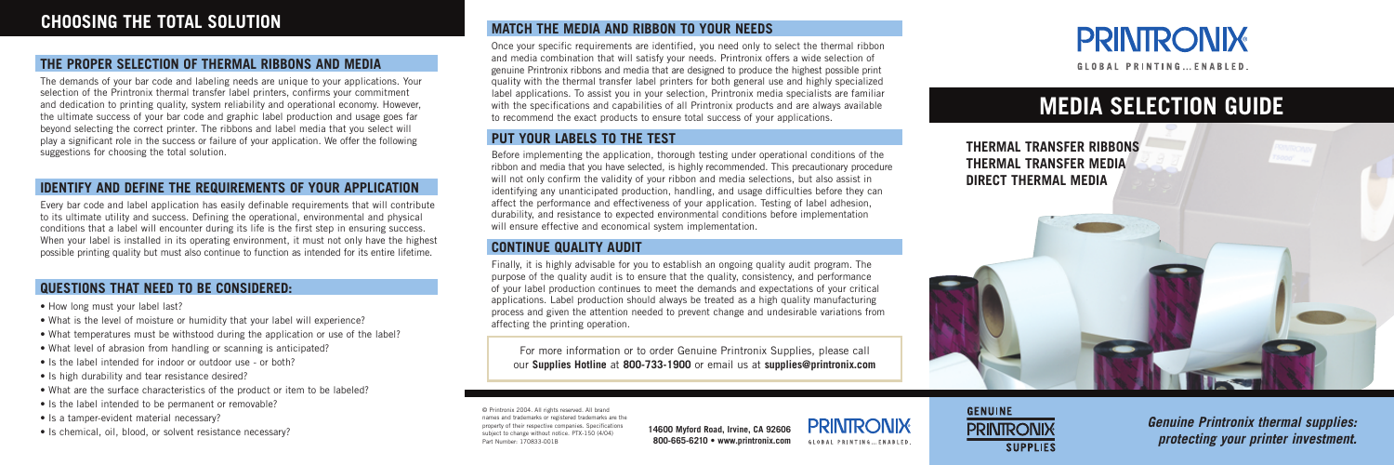© Printronix 2004. All rights reserved. All brand trademarks or registered trademarks are the property of their respective companies. Specifications subject to change without notice. PTX-150 (4/04) Part Number: 170833-001B

**14600 Myford Road, Irvine, CA 92606 800-665-6210 • www.printronix.com**





**GLOBAL PRINTING... ENABLED.** 

# **THE PROPER SELECTION OF THERMAL RIBBONS AND MEDIA**

The demands of your bar code and labeling needs are unique to your applications. Your selection of the Printronix thermal transfer label printers, confirms your commitment and dedication to printing quality, system reliability and operational economy. However, the ultimate success of your bar code and graphic label production and usage goes far beyond selecting the correct printer. The ribbons and label media that you select will play a significant role in the success or failure of your application. We offer the following suggestions for choosing the total solution.

# **IDENTIFY AND DEFINE THE REQUIREMENTS OF YOUR APPLICATION**

Before implementing the application, thorough testing under operational conditions of the ribbon and media that you have selected, is highly recommended. This precautionary procedure will not only confirm the validity of your ribbon and media selections, but also assist in identifying any unanticipated production, handling, and usage difficulties before they can affect the performance and effectiveness of your application. Testing of label adhesion, durability, and resistance to expected environmental conditions before implementation will ensure effective and economical system implementation.

Every bar code and label application has easily definable requirements that will contribute to its ultimate utility and success. Defining the operational, environmental and physical conditions that a label will encounter during its life is the first step in ensuring success. When your label is installed in its operating environment, it must not only have the highest possible printing quality but must also continue to function as intended for its entire lifetime.

## **QUESTIONS THAT NEED TO BE CONSIDERED:**

- How long must your label last?
- What is the level of moisture or humidity that your label will experience?
- What temperatures must be withstood during the application or use of the label?
- What level of abrasion from handling or scanning is anticipated?
- Is the label intended for indoor or outdoor use or both?
- Is high durability and tear resistance desired?
- What are the surface characteristics of the product or item to be labeled?
- Is the label intended to be permanent or removable?
- Is a tamper-evident material necessary?
- Is chemical, oil, blood, or solvent resistance necessary?

# **PUT YOUR LABELS TO THE TEST**

# **CONTINUE QUALITY AUDIT**

Finally, it is highly advisable for you to establish an ongoing quality audit program. The purpose of the quality audit is to ensure that the quality, consistency, and performance of your label production continues to meet the demands and expectations of your critical applications. Label production should always be treated as a high quality manufacturing process and given the attention needed to prevent change and undesirable variations from affecting the printing operation.

# **MEDIA SELECTION GUIDE**

**Genuine Printronix thermal supplies: protecting your printer investment.**

**THERMAL TRANSFER RIBBONS THERMAL TRANSFER MEDIA DIRECT THERMAL MEDIA**



# **MATCH THE MEDIA AND RIBBON TO YOUR NEEDS**

Once your specific requirements are identified, you need only to select the thermal ribbon and media combination that will satisfy your needs. Printronix offers a wide selection of genuine Printronix ribbons and media that are designed to produce the highest possible print quality with the thermal transfer label printers for both general use and highly specialized label applications. To assist you in your selection, Printronix media specialists are familiar with the specifications and capabilities of all Printronix products and are always available to recommend the exact products to ensure total success of your applications.

For more information or to order Genuine Printronix Supplies, please call our **Supplies Hotline** at **800-733-1900** or email us at **supplies@printronix.com**